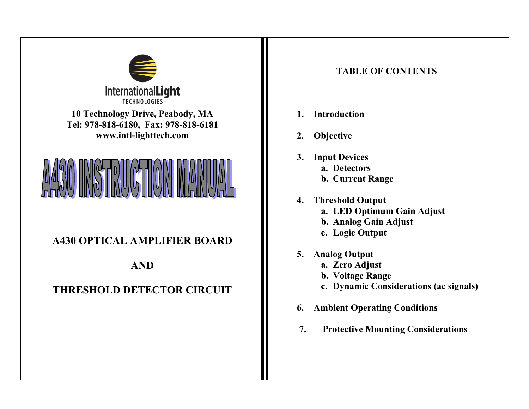

**10 Technology Drive, Peabody, MA Tel: 978-818-6180, Fax: 978-818-6181 www.intl-lighttech.com**



## **A430 OPTICAL AMPLIFIER BOARD**

## **AND**

## **THRESHOLD DETECTOR CIRCUIT**

## **TABLE OF CONTENTS**

- **1. Introduction**
- **2. Objective**
- **3. Input Devices**
	- **a. Detectors**
	- **b. Current Range**
- **4. Threshold Output a. LED Optimum Gain Adjust**
	-
	- **b. Analog Gain Adjust**
	- **c. Logic Output**
- **5. Analog Output**
	- **a. Zero Adjust**
	- **b. Voltage Range**
	- **c. Dynamic Considerations (ac signals)**
- **6. Ambient Operating Conditions**
- **7. Protective Mounting Considerations**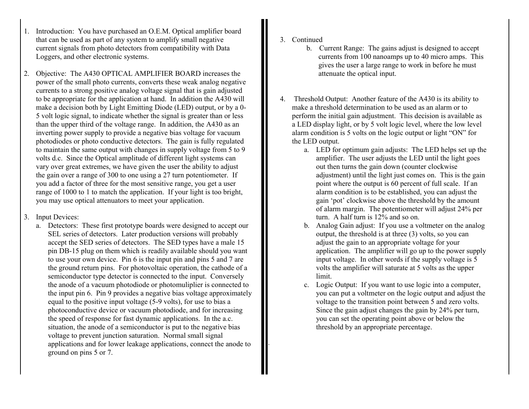- 1. Introduction: You have purchased an O.E.M. Optical amplifier board that can be used as part of any system to amplify small negative current signals from photo detectors from compatibility with Data Loggers, and other electronic systems.
- 2. Objective: The A430 OPTICAL AMPLIFIER BOARD increases the power of the small photo currents, converts these weak analog negative currents to a strong positive analog voltage signal that is gain adjusted to be appropriate for the application at hand. In addition the A430 will make a decision both by Light Emitting Diode (LED) output, or by a 0- 5 volt logic signal, to indicate whether the signal is greater than or less than the upper third of the voltage range. In addition, the A430 as an inverting power supply to provide a negative bias voltage for vacuum photodiodes or photo conductive detectors. The gain is fully regulated to maintain the same output with changes in supply voltage from 5 to 9 volts d.c. Since the Optical amplitude of different light systems can vary over great extremes, we have given the user the ability to adjust the gain over a range of 300 to one using a 27 turn potentiometer. If you add a factor of three for the most sensitive range, you get a user range of 1000 to 1 to match the application. If your light is too bright, you may use optical attenuators to meet your application.
- 3. Input Devices:
	- a. Detectors: These first prototype boards were designed to accept our SEL series of detectors. Later production versions will probably accept the SED series of detectors. The SED types have a male 15 pin DB-15 plug on them which is readily available should you want to use your own device. Pin 6 is the input pin and pins 5 and 7 are the ground return pins. For photovoltaic operation, the cathode of a semiconductor type detector is connected to the input. Conversely the anode of a vacuum photodiode or photomuliplier is connected to the input pin 6. Pin 9 provides a negative bias voltage approximately equal to the positive input voltage (5-9 volts), for use to bias a photoconductive device or vacuum photodiode, and for increasing the speed of response for fast dynamic applications. In the a.c. situation, the anode of a semiconductor is put to the negative bias voltage to prevent junction saturation. Normal small signal applications and for lower leakage applications, connect the anode to ground on pins 5 or 7.

3. Continued

.

- b. Current Range: The gains adjust is designed to accept currents from 100 nanoamps up to 40 micro amps. This gives the user a large range to work in before he must attenuate the optical input.
- 4. Threshold Output: Another feature of the A430 is its ability to make a threshold determination to be used as an alarm or to perform the initial gain adjustment. This decision is available as a LED display light, or by 5 volt logic level, where the low level alarm condition is 5 volts on the logic output or light "ON" for the LED output.
	- a. LED for optimum gain adjusts: The LED helps set up the amplifier. The user adjusts the LED until the light goes out then turns the gain down (counter clockwise adjustment) until the light just comes on. This is the gain point where the output is 60 percent of full scale. If an alarm condition is to be established, you can adjust the gain 'pot' clockwise above the threshold by the amount of alarm margin. The potentiometer will adjust 24% per turn. A half turn is 12% and so on.
	- b. Analog Gain adjust: If you use a voltmeter on the analog output, the threshold is at three (3) volts, so you can adjust the gain to an appropriate voltage for your application. The amplifier will go up to the power supply input voltage. In other words if the supply voltage is 5 volts the amplifier will saturate at 5 volts as the upper limit.
	- c. Logic Output: If you want to use logic into a computer, you can put a voltmeter on the logic output and adjust the voltage to the transition point between 5 and zero volts. Since the gain adjust changes the gain by 24% per turn, you can set the operating point above or below the threshold by an appropriate percentage.